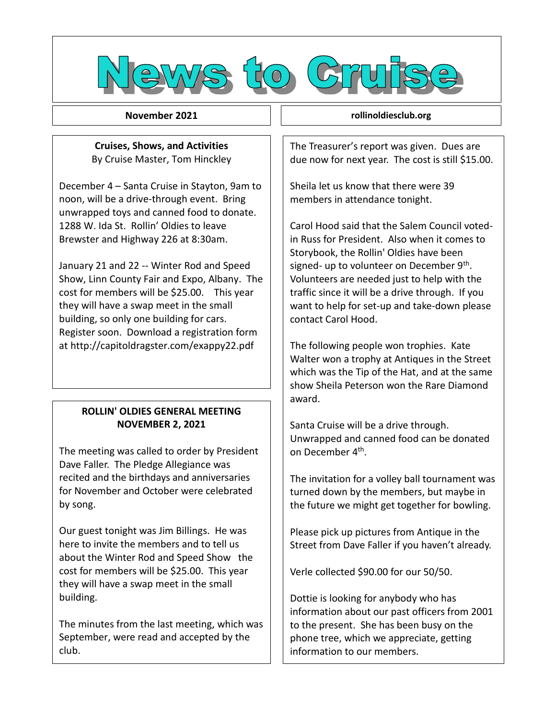

**November 2021**

**2021 Rollin' Oldies Newsletter Cruises, Shows, and Activities** By Cruise Master, Tom Hinckley

December 4 – Santa Cruise in Stayton, 9am to noon, will be a drive-through event. Bring unwrapped toys and canned food to donate. 1288 W. Ida St. Rollin' Oldies to leave Brewster and Highway 226 at 8:30am.

January 21 and 22 -- Winter Rod and Speed Show, Linn County Fair and Expo, Albany. The cost for members will be \$25.00. This year they will have a swap meet in the small building, so only one building for cars. Register soon. Download a registration form at http://capitoldragster.com/exappy22.pdf

## **ROLLIN' OLDIES GENERAL MEETING NOVEMBER 2, 2021**

The meeting was called to order by President Dave Faller. The Pledge Allegiance was recited and the birthdays and anniversaries for November and October were celebrated by song.

Our guest tonight was Jim Billings. He was here to invite the members and to tell us about the Winter Rod and Speed Show the cost for members will be \$25.00. This year they will have a swap meet in the small building.

The minutes from the last meeting, which was September, were read and accepted by the club.

**rollinoldiesclub.org**

The Treasurer's report was given. Dues are due now for next year. The cost is still \$15.00.

Sheila let us know that there were 39 members in attendance tonight.

Carol Hood said that the Salem Council votedin Russ for President. Also when it comes to Storybook, the Rollin' Oldies have been signed- up to volunteer on December 9<sup>th</sup>. Volunteers are needed just to help with the traffic since it will be a drive through. If you want to help for set-up and take-down please contact Carol Hood.

The following people won trophies. Kate Walter won a trophy at Antiques in the Street which was the Tip of the Hat, and at the same show Sheila Peterson won the Rare Diamond award.

Santa Cruise will be a drive through. Unwrapped and canned food can be donated on December 4<sup>th</sup>.

The invitation for a volley ball tournament was turned down by the members, but maybe in the future we might get together for bowling.

Please pick up pictures from Antique in the Street from Dave Faller if you haven't already.

Verle collected \$90.00 for our 50/50.

Dottie is looking for anybody who has information about our past officers from 2001 to the present. She has been busy on the phone tree, which we appreciate, getting information to our members.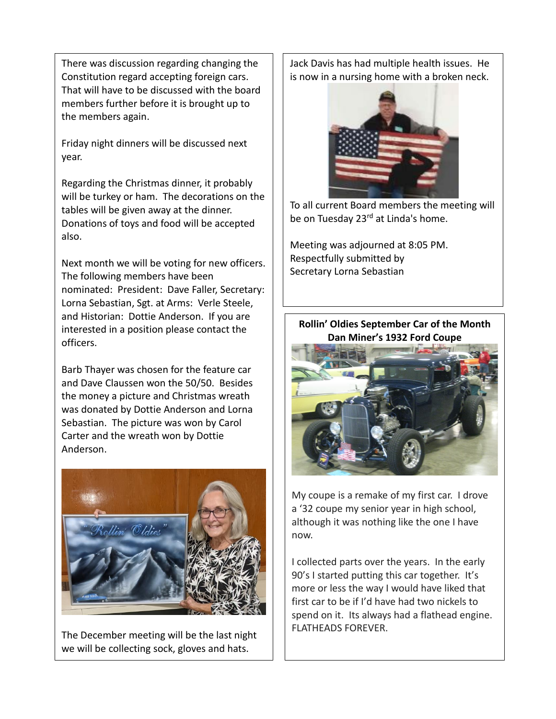There was discussion regarding changing the Constitution regard accepting foreign cars. That will have to be discussed with the board members further before it is brought up to the members again.

Friday night dinners will be discussed next year.

Regarding the Christmas dinner, it probably will be turkey or ham. The decorations on the tables will be given away at the dinner. Donations of toys and food will be accepted also.

Next month we will be voting for new officers. The following members have been nominated: President: Dave Faller, Secretary: Lorna Sebastian, Sgt. at Arms: Verle Steele, and Historian: Dottie Anderson. If you are interested in a position please contact the officers.

Barb Thayer was chosen for the feature car and Dave Claussen won the 50/50. Besides the money a picture and Christmas wreath was donated by Dottie Anderson and Lorna Sebastian. The picture was won by Carol Carter and the wreath won by Dottie Anderson.



The December meeting will be the last night we will be collecting sock, gloves and hats.

Jack Davis has had multiple health issues. He is now in a nursing home with a broken neck.



To all current Board members the meeting will be on Tuesday 23<sup>rd</sup> at Linda's home.

Meeting was adjourned at 8:05 PM. Respectfully submitted by Secretary Lorna Sebastian

## **Rollin' Oldies September Car of the Month Dan Miner's 1932 Ford Coupe**



My coupe is a remake of my first car. I drove a '32 coupe my senior year in high school, although it was nothing like the one I have now.

I collected parts over the years. In the early 90's I started putting this car together. It's more or less the way I would have liked that first car to be if I'd have had two nickels to spend on it. Its always had a flathead engine. FLATHEADS FOREVER.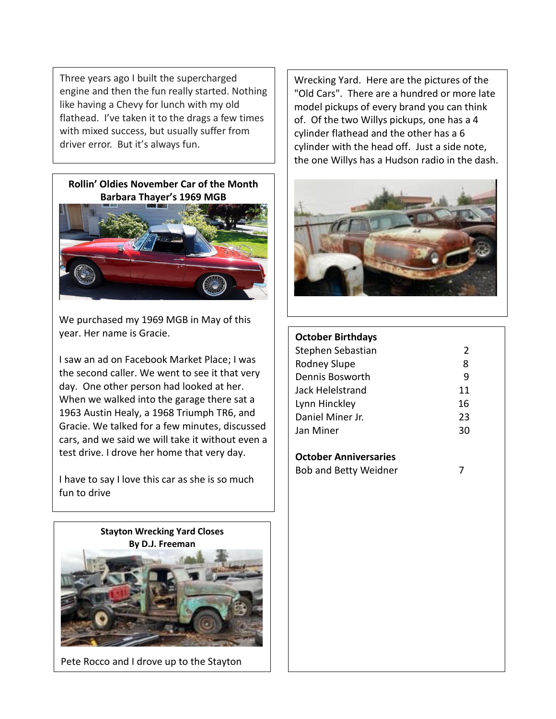Three years ago I built the supercharged engine and then the fun really started. Nothing like having a Chevy for lunch with my old flathead. I've taken it to the drags a few times with mixed success, but usually suffer from driver error. But it's always fun.





We purchased my 1969 MGB in May of this year. Her name is Gracie.

I saw an ad on Facebook Market Place; I was the second caller. We went to see it that very day. One other person had looked at her. When we walked into the garage there sat a 1963 Austin Healy, a 1968 Triumph TR6, and Gracie. We talked for a few minutes, discussed cars, and we said we will take it without even a test drive. I drove her home that very day.

I have to say I love this car as she is so much fun to drive



Pete Rocco and I drove up to the Stayton

Wrecking Yard. Here are the pictures of the "Old Cars". There are a hundred or more late model pickups of every brand you can think of. Of the two Willys pickups, one has a 4 cylinder flathead and the other has a 6 cylinder with the head off. Just a side note, the one Willys has a Hudson radio in the dash.



## **October Birthdays**

| Stephen Sebastian | $\mathcal{L}$ |
|-------------------|---------------|
| Rodney Slupe      | 8             |
| Dennis Bosworth   | ٩             |
| Jack Helelstrand  | 11            |
| Lynn Hinckley     | 16            |
| Daniel Miner Jr.  | 23            |
| Jan Miner         | 30            |
|                   |               |

**October Anniversaries**

Bob and Betty Weidner 7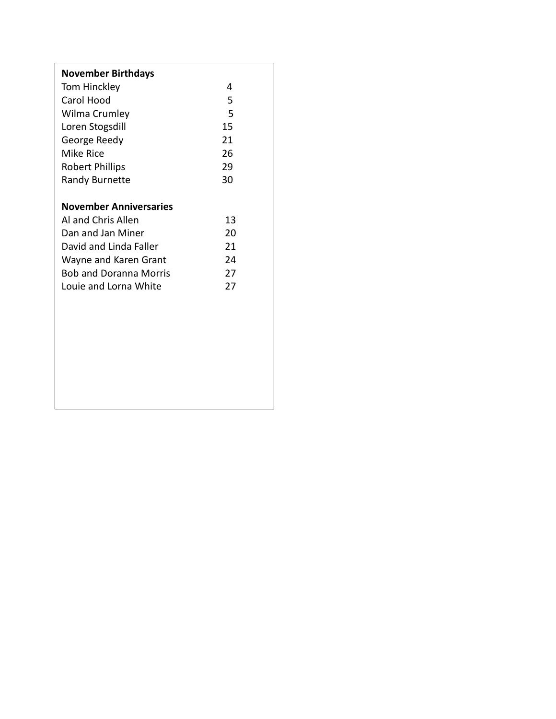| <b>November Birthdays</b>     |    |
|-------------------------------|----|
| Tom Hinckley                  | 4  |
| Carol Hood                    | 5  |
| Wilma Crumley                 | 5  |
| Loren Stogsdill               | 15 |
| George Reedy                  | 21 |
| Mike Rice                     | 26 |
| <b>Robert Phillips</b>        | 29 |
| <b>Randy Burnette</b>         | 30 |
|                               |    |
| <b>November Anniversaries</b> |    |
| Al and Chris Allen            | 13 |
| Dan and Jan Miner             | 20 |
| David and Linda Faller        | 21 |
| Wayne and Karen Grant         | 24 |
| <b>Bob and Doranna Morris</b> | 27 |
| Louie and Lorna White         | 27 |
|                               |    |
|                               |    |
|                               |    |
|                               |    |
|                               |    |
|                               |    |
|                               |    |